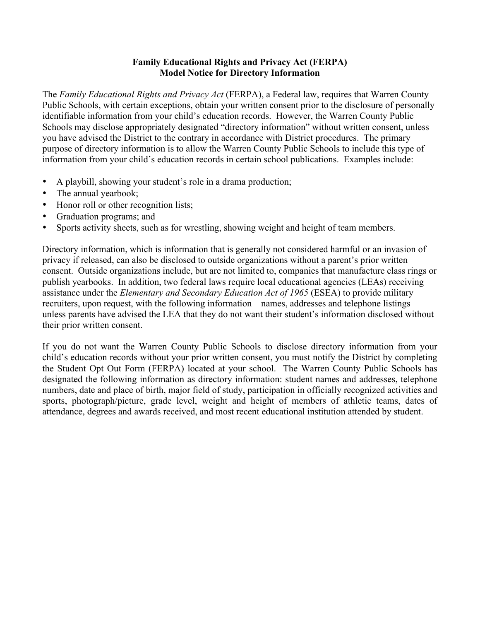## **Family Educational Rights and Privacy Act (FERPA) Model Notice for Directory Information**

The *Family Educational Rights and Privacy Act* (FERPA), a Federal law, requires that Warren County Public Schools, with certain exceptions, obtain your written consent prior to the disclosure of personally identifiable information from your child's education records. However, the Warren County Public Schools may disclose appropriately designated "directory information" without written consent, unless you have advised the District to the contrary in accordance with District procedures. The primary purpose of directory information is to allow the Warren County Public Schools to include this type of information from your child's education records in certain school publications. Examples include:

- A playbill, showing your student's role in a drama production;
- The annual yearbook;
- Honor roll or other recognition lists;
- Graduation programs; and
- Sports activity sheets, such as for wrestling, showing weight and height of team members.

Directory information, which is information that is generally not considered harmful or an invasion of privacy if released, can also be disclosed to outside organizations without a parent's prior written consent. Outside organizations include, but are not limited to, companies that manufacture class rings or publish yearbooks. In addition, two federal laws require local educational agencies (LEAs) receiving assistance under the *Elementary and Secondary Education Act of 1965* (ESEA) to provide military recruiters, upon request, with the following information – names, addresses and telephone listings – unless parents have advised the LEA that they do not want their student's information disclosed without their prior written consent.

If you do not want the Warren County Public Schools to disclose directory information from your child's education records without your prior written consent, you must notify the District by completing the Student Opt Out Form (FERPA) located at your school. The Warren County Public Schools has designated the following information as directory information: student names and addresses, telephone numbers, date and place of birth, major field of study, participation in officially recognized activities and sports, photograph/picture, grade level, weight and height of members of athletic teams, dates of attendance, degrees and awards received, and most recent educational institution attended by student.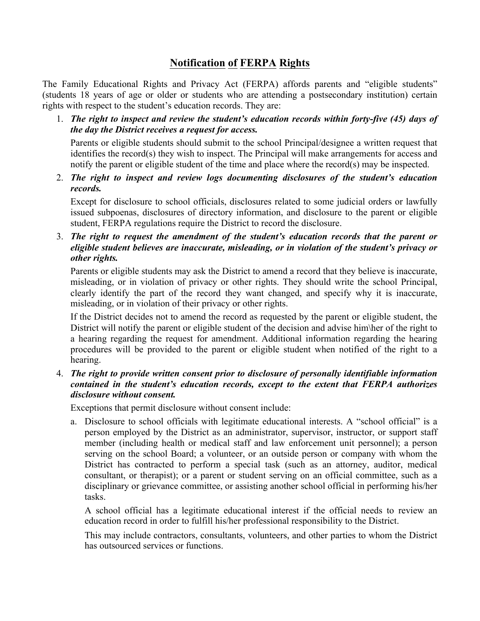## **Notification of FERPA Rights**

The Family Educational Rights and Privacy Act (FERPA) affords parents and "eligible students" (students 18 years of age or older or students who are attending a postsecondary institution) certain rights with respect to the student's education records. They are:

1. *The right to inspect and review the student's education records within forty-five (45) days of the day the District receives a request for access.*

Parents or eligible students should submit to the school Principal/designee a written request that identifies the record(s) they wish to inspect. The Principal will make arrangements for access and notify the parent or eligible student of the time and place where the record(s) may be inspected.

2. *The right to inspect and review logs documenting disclosures of the student's education records.*

Except for disclosure to school officials, disclosures related to some judicial orders or lawfully issued subpoenas, disclosures of directory information, and disclosure to the parent or eligible student, FERPA regulations require the District to record the disclosure.

3. *The right to request the amendment of the student's education records that the parent or eligible student believes are inaccurate, misleading, or in violation of the student's privacy or other rights.*

Parents or eligible students may ask the District to amend a record that they believe is inaccurate, misleading, or in violation of privacy or other rights. They should write the school Principal, clearly identify the part of the record they want changed, and specify why it is inaccurate, misleading, or in violation of their privacy or other rights.

If the District decides not to amend the record as requested by the parent or eligible student, the District will notify the parent or eligible student of the decision and advise him\her of the right to a hearing regarding the request for amendment. Additional information regarding the hearing procedures will be provided to the parent or eligible student when notified of the right to a hearing.

4. *The right to provide written consent prior to disclosure of personally identifiable information contained in the student's education records, except to the extent that FERPA authorizes disclosure without consent.*

Exceptions that permit disclosure without consent include:

a. Disclosure to school officials with legitimate educational interests. A "school official" is a person employed by the District as an administrator, supervisor, instructor, or support staff member (including health or medical staff and law enforcement unit personnel); a person serving on the school Board; a volunteer, or an outside person or company with whom the District has contracted to perform a special task (such as an attorney, auditor, medical consultant, or therapist); or a parent or student serving on an official committee, such as a disciplinary or grievance committee, or assisting another school official in performing his/her tasks.

A school official has a legitimate educational interest if the official needs to review an education record in order to fulfill his/her professional responsibility to the District.

This may include contractors, consultants, volunteers, and other parties to whom the District has outsourced services or functions.